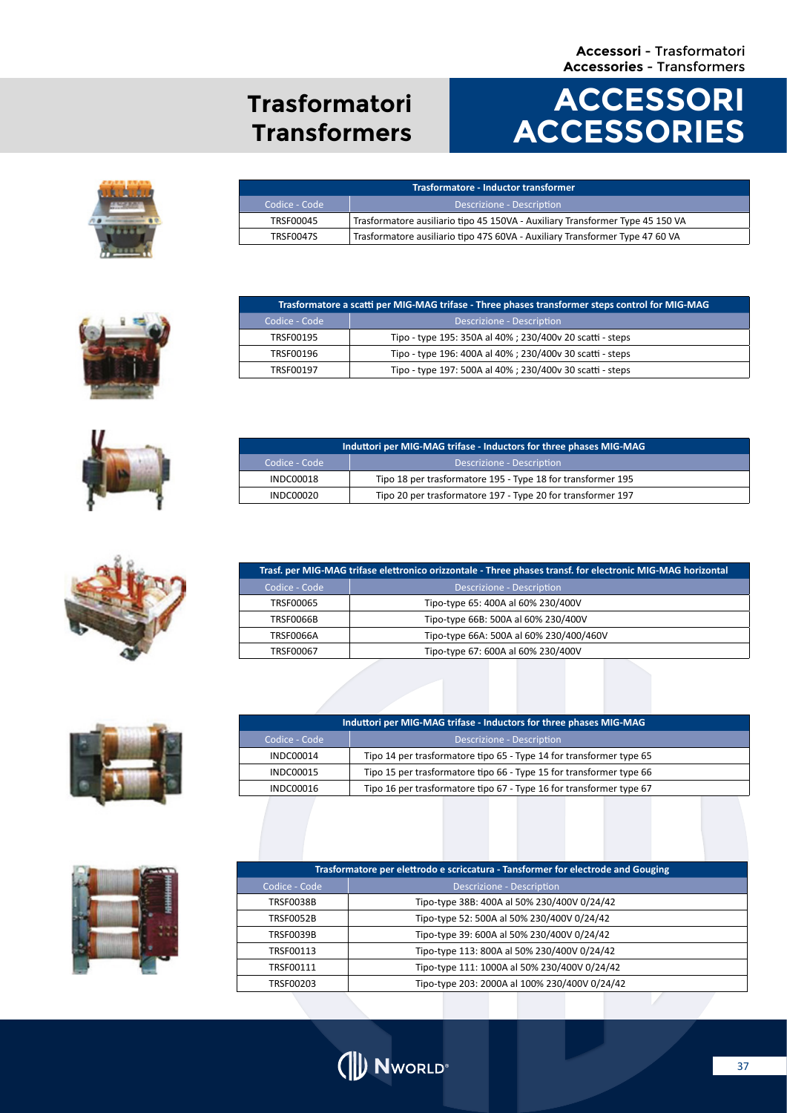#### **Accessori** - Trasformatori **Accessories** - Transformers

### **Trasformatori Transformers**

# **ACCESSORI ACCESSORIES**





Codice - Code Descrizione - Descrizione - Description

Codice - Code Descrizione - Descrizione - Description

TRSF00195 Tipo - type 195: 350A al 40% ; 230/400v 20 scatti - steps TRSF00196 Tipo - type 196: 400A al 40% ; 230/400v 30 scatti - steps TRSF00197 Tipo - type 197: 500A al 40% ; 230/400v 30 scatti - steps

INDC00018 Tipo 18 per trasformatore 195 - Type 18 for transformer 195 INDC00020 Tipo 20 per trasformatore 197 - Type 20 for transformer 197

**Trasformatore a scatti per MIG-MAG trifase - Three phases transformer steps control for MIG-MAG**

**Induttori per MIG-MAG trifase - Inductors for three phases MIG-MAG**













| Induttori per MIG-MAG trifase - Inductors for three phases MIG-MAG |                                                                     |  |  |
|--------------------------------------------------------------------|---------------------------------------------------------------------|--|--|
| Codice - Code                                                      | Descrizione - Description                                           |  |  |
| <b>INDC00014</b>                                                   | Tipo 14 per trasformatore tipo 65 - Type 14 for transformer type 65 |  |  |
| INDC00015                                                          | Tipo 15 per trasformatore tipo 66 - Type 15 for transformer type 66 |  |  |
| <b>INDC00016</b>                                                   | Tipo 16 per trasformatore tipo 67 - Type 16 for transformer type 67 |  |  |
|                                                                    |                                                                     |  |  |

| Trasformatore per elettrodo e scriccatura - Tansformer for electrode and Gouging |                                               |  |
|----------------------------------------------------------------------------------|-----------------------------------------------|--|
| Codice - Code                                                                    | Descrizione - Description                     |  |
| TRSF0038B                                                                        | Tipo-type 38B: 400A al 50% 230/400V 0/24/42   |  |
| <b>TRSF0052B</b>                                                                 | Tipo-type 52: 500A al 50% 230/400V 0/24/42    |  |
| <b>TRSF0039B</b>                                                                 | Tipo-type 39: 600A al 50% 230/400V 0/24/42    |  |
| TRSF00113                                                                        | Tipo-type 113: 800A al 50% 230/400V 0/24/42   |  |
| TRSF00111                                                                        | Tipo-type 111: 1000A al 50% 230/400V 0/24/42  |  |
| TRSF00203                                                                        | Tipo-type 203: 2000A al 100% 230/400V 0/24/42 |  |